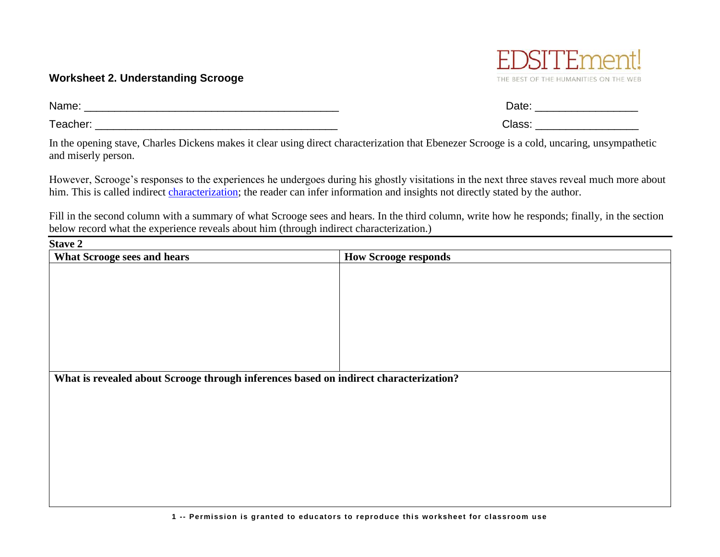## **Worksheet 2. Understanding Scrooge**

Name: \_\_\_\_\_\_\_\_\_\_\_\_\_\_\_\_\_\_\_\_\_\_\_\_\_\_\_\_\_\_\_\_\_\_\_\_\_\_\_\_\_\_ Date: \_\_\_\_\_\_\_\_\_\_\_\_\_\_\_\_\_

Teacher: \_\_\_\_\_\_\_\_\_\_\_\_\_\_\_\_\_\_\_\_\_\_\_\_\_\_\_\_\_\_\_\_\_\_\_\_\_\_\_\_ Class: \_\_\_\_\_\_\_\_\_\_\_\_\_\_\_\_\_

In the opening stave, Charles Dickens makes it clear using direct characterization that Ebenezer Scrooge is a cold, uncaring, unsympathetic and miserly person.

However, Scrooge's responses to the experiences he undergoes during his ghostly visitations in the next three staves reveal much more about him. This is called indirect [characterization;](http://edsitement.neh.gov/literary-glossary-c-d#characterization) the reader can infer information and insights not directly stated by the author.

Fill in the second column with a summary of what Scrooge sees and hears. In the third column, write how he responds; finally, in the section below record what the experience reveals about him (through indirect characterization.)

| <b>Stave 2</b>                                                                        |                             |  |
|---------------------------------------------------------------------------------------|-----------------------------|--|
| <b>What Scrooge sees and hears</b>                                                    | <b>How Scrooge responds</b> |  |
|                                                                                       |                             |  |
|                                                                                       |                             |  |
|                                                                                       |                             |  |
|                                                                                       |                             |  |
|                                                                                       |                             |  |
|                                                                                       |                             |  |
|                                                                                       |                             |  |
|                                                                                       |                             |  |
|                                                                                       |                             |  |
| What is revealed about Scrooge through inferences based on indirect characterization? |                             |  |
|                                                                                       |                             |  |
|                                                                                       |                             |  |
|                                                                                       |                             |  |
|                                                                                       |                             |  |
|                                                                                       |                             |  |
|                                                                                       |                             |  |
|                                                                                       |                             |  |
|                                                                                       |                             |  |
|                                                                                       |                             |  |

THE BEST OF THE HUMANITIES ON THE WEB

| Date:  |  |
|--------|--|
| Class: |  |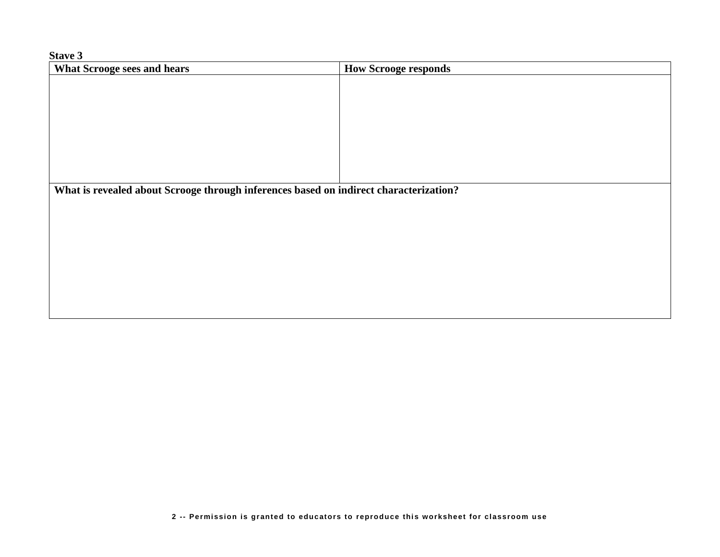**Stave 3**

| <b>What Scrooge sees and hears</b>                                                    | <b>How Scrooge responds</b> |  |
|---------------------------------------------------------------------------------------|-----------------------------|--|
|                                                                                       |                             |  |
|                                                                                       |                             |  |
|                                                                                       |                             |  |
|                                                                                       |                             |  |
|                                                                                       |                             |  |
|                                                                                       |                             |  |
|                                                                                       |                             |  |
|                                                                                       |                             |  |
| What is revealed about Scrooge through inferences based on indirect characterization? |                             |  |
|                                                                                       |                             |  |
|                                                                                       |                             |  |
|                                                                                       |                             |  |
|                                                                                       |                             |  |
|                                                                                       |                             |  |
|                                                                                       |                             |  |
|                                                                                       |                             |  |
|                                                                                       |                             |  |
|                                                                                       |                             |  |
|                                                                                       |                             |  |